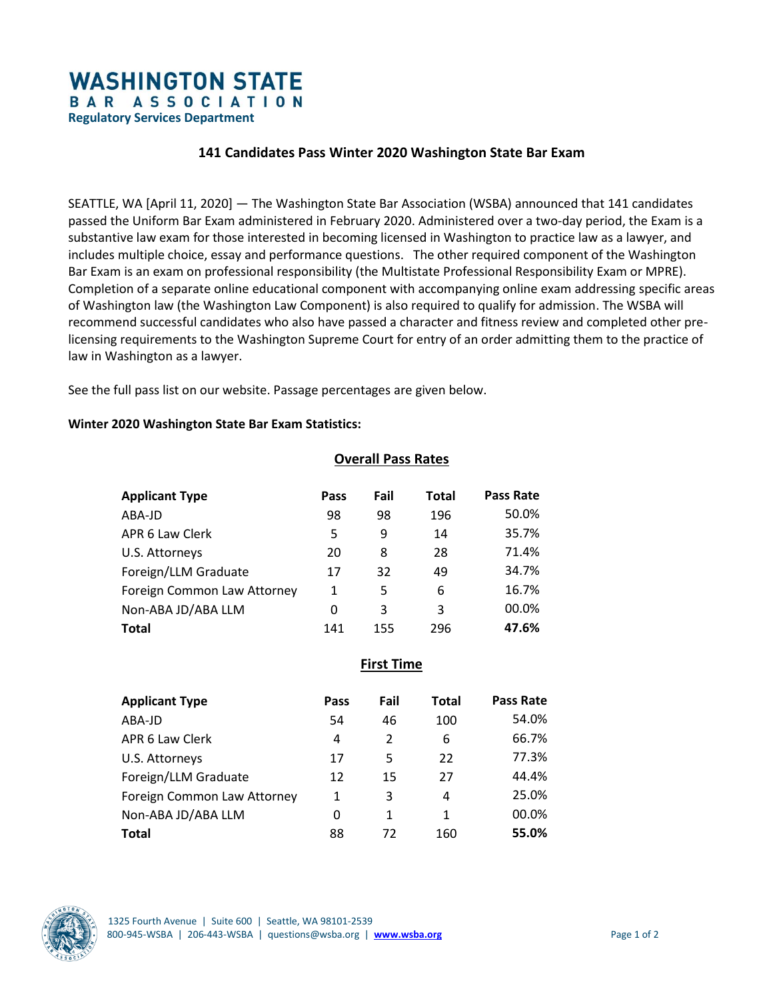# **WASHINGTON STATE** BAR ASSOCIATION

**Regulatory Services Department**

### **141 Candidates Pass Winter 2020 Washington State Bar Exam**

SEATTLE, WA [April 11, 2020] — The Washington State Bar Association (WSBA) announced that 141 candidates passed the Uniform Bar Exam administered in February 2020. Administered over a two-day period, the Exam is a substantive law exam for those interested in becoming licensed in Washington to practice law as a lawyer, and includes multiple choice, essay and performance questions. The other required component of the Washington Bar Exam is an exam on professional responsibility (the Multistate Professional Responsibility Exam or MPRE). Completion of a separate online educational component with accompanying online exam addressing specific areas of Washington law (the Washington Law Component) is also required to qualify for admission. The WSBA will recommend successful candidates who also have passed a character and fitness review and completed other prelicensing requirements to the Washington Supreme Court for entry of an order admitting them to the practice of law in Washington as a lawyer.

See the full pass list on our website. Passage percentages are given below.

#### **Winter 2020 Washington State Bar Exam Statistics:**

#### **Overall Pass Rates**

| <b>Applicant Type</b>       | Pass | Fail | <b>Total</b> | <b>Pass Rate</b> |
|-----------------------------|------|------|--------------|------------------|
| ABA-JD                      | 98   | 98   | 196          | 50.0%            |
| APR 6 Law Clerk             | 5    | 9    | 14           | 35.7%            |
| U.S. Attorneys              | 20   | 8    | 28           | 71.4%            |
| Foreign/LLM Graduate        | 17   | 32   | 49           | 34.7%            |
| Foreign Common Law Attorney | 1    | 5    | 6            | 16.7%            |
| Non-ABA JD/ABA LLM          | 0    | 3    | 3            | 00.0%            |
| Total                       | 141  | 155  | 296          | 47.6%            |

**First Time** 

| <b>Applicant Type</b>       | Pass | Fail           | Total | Pass Rate |
|-----------------------------|------|----------------|-------|-----------|
| ABA-JD                      | 54   | 46             | 100   | 54.0%     |
| APR 6 Law Clerk             | 4    | $\mathfrak{p}$ | 6     | 66.7%     |
| U.S. Attorneys              | 17   | 5              | 22    | 77.3%     |
| Foreign/LLM Graduate        | 12   | 15             | 27    | 44.4%     |
| Foreign Common Law Attorney | 1    | 3              | 4     | 25.0%     |
| Non-ABA JD/ABA LLM          | 0    | 1              | 1     | 00.0%     |
| <b>Total</b>                | 88   | 72             | 160   | 55.0%     |